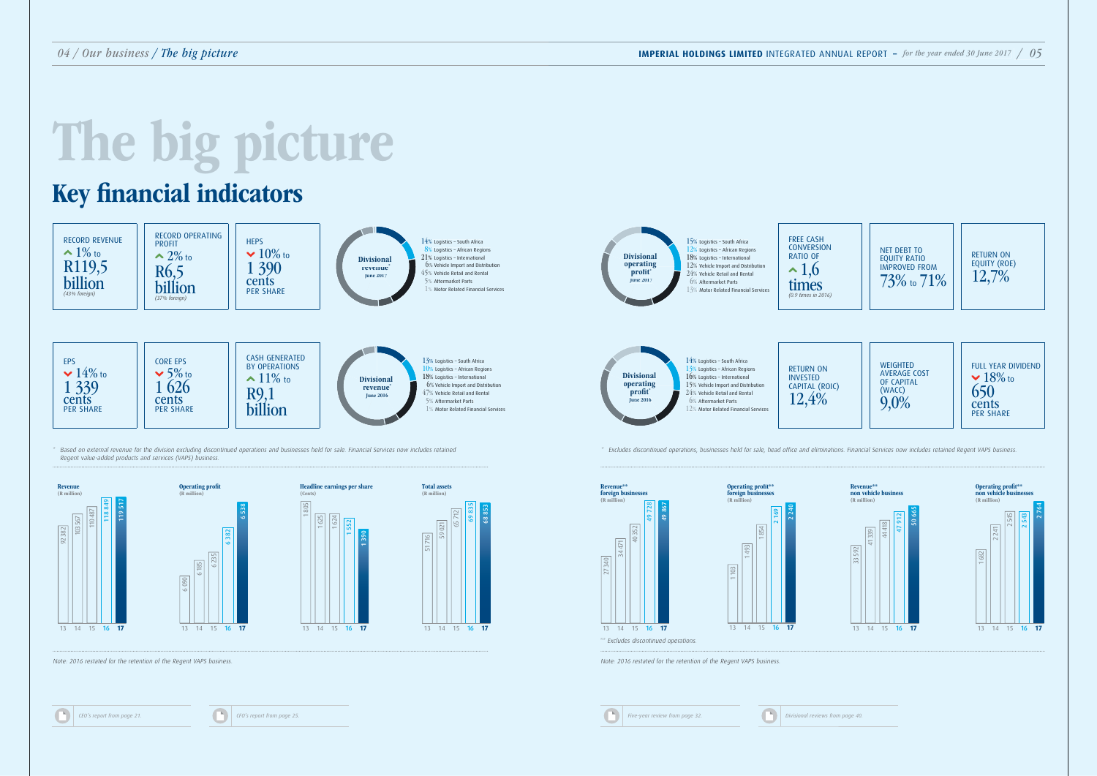## The big picture



13 14 15 16 **17**







Note: 2016 restated for the retention of the Regent VAPS business. Note: 2016 restated for the retention of the Regent VAPS business.

*CEO's report from page 21.* **CEO's report from page 25.** 

13 14 15 16 **17**

340

471

<sup>03</sup>

**193** 



13 14 15 16 **17**

| <b>I</b> | Five-year review from page 32. |  |  |  |
|----------|--------------------------------|--|--|--|
|          |                                |  |  |  |

1 854







\*\* Excludes discontinued operations.

## Key financial indicators